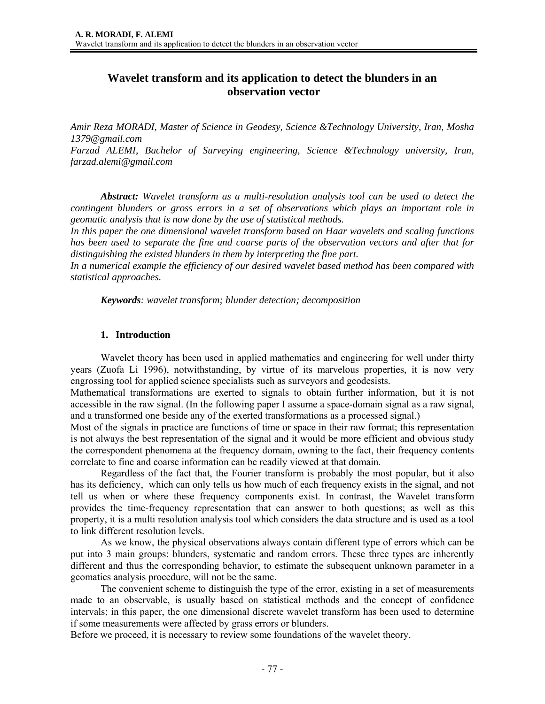# **Wavelet transform and its application to detect the blunders in an observation vector**

*Amir Reza MORADI, Master of Science in Geodesy, Science &Technology University, Iran, Mosha 1379@gmail.com Farzad ALEMI, Bachelor of Surveying engineering, Science &Technology university, Iran, farzad.alemi@gmail.com* 

*Abstract: Wavelet transform as a multi-resolution analysis tool can be used to detect the contingent blunders or gross errors in a set of observations which plays an important role in geomatic analysis that is now done by the use of statistical methods.* 

*In this paper the one dimensional wavelet transform based on Haar wavelets and scaling functions has been used to separate the fine and coarse parts of the observation vectors and after that for distinguishing the existed blunders in them by interpreting the fine part.* 

*In a numerical example the efficiency of our desired wavelet based method has been compared with statistical approaches.* 

*Keywords: wavelet transform; blunder detection; decomposition* 

## **1. Introduction**

Wavelet theory has been used in applied mathematics and engineering for well under thirty years (Zuofa Li 1996), notwithstanding, by virtue of its marvelous properties, it is now very engrossing tool for applied science specialists such as surveyors and geodesists.

Mathematical transformations are exerted to signals to obtain further information, but it is not accessible in the raw signal. (In the following paper I assume a space-domain signal as a raw signal, and a transformed one beside any of the exerted transformations as a processed signal.)

Most of the signals in practice are functions of time or space in their raw format; this representation is not always the best representation of the signal and it would be more efficient and obvious study the correspondent phenomena at the frequency domain, owning to the fact, their frequency contents correlate to fine and coarse information can be readily viewed at that domain.

Regardless of the fact that, the Fourier transform is probably the most popular, but it also has its deficiency, which can only tells us how much of each frequency exists in the signal, and not tell us when or where these frequency components exist. In contrast, the Wavelet transform provides the time-frequency representation that can answer to both questions; as well as this property, it is a multi resolution analysis tool which considers the data structure and is used as a tool to link different resolution levels.

As we know, the physical observations always contain different type of errors which can be put into 3 main groups: blunders, systematic and random errors. These three types are inherently different and thus the corresponding behavior, to estimate the subsequent unknown parameter in a geomatics analysis procedure, will not be the same.

The convenient scheme to distinguish the type of the error, existing in a set of measurements made to an observable, is usually based on statistical methods and the concept of confidence intervals; in this paper, the one dimensional discrete wavelet transform has been used to determine if some measurements were affected by grass errors or blunders.

Before we proceed, it is necessary to review some foundations of the wavelet theory.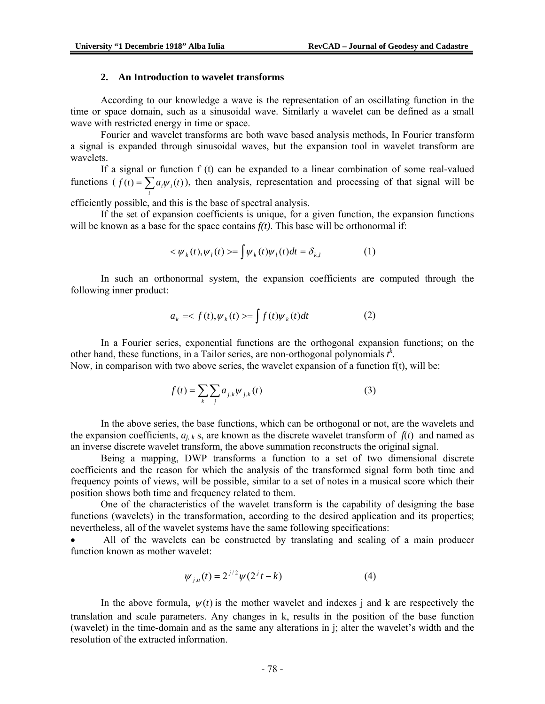#### **2. An Introduction to wavelet transforms**

According to our knowledge a wave is the representation of an oscillating function in the time or space domain, such as a sinusoidal wave. Similarly a wavelet can be defined as a small wave with restricted energy in time or space.

Fourier and wavelet transforms are both wave based analysis methods, In Fourier transform a signal is expanded through sinusoidal waves, but the expansion tool in wavelet transform are wavelets.

If a signal or function f (t) can be expanded to a linear combination of some real-valued functions  $(f(t) = \sum a_i \psi_i(t)$ , then analysis, representation and processing of that signal will be *i*

efficiently possible, and this is the base of spectral analysis.

If the set of expansion coefficients is unique, for a given function, the expansion functions will be known as a base for the space contains  $f(t)$ . This base will be orthonormal if:

$$
\langle \psi_k(t), \psi_l(t) \rangle = \int \psi_k(t) \psi_l(t) dt = \delta_{k,l} \tag{1}
$$

In such an orthonormal system, the expansion coefficients are computed through the following inner product:

$$
a_k = \langle f(t), \psi_k(t) \rangle = \int f(t) \psi_k(t) dt \tag{2}
$$

In a Fourier series, exponential functions are the orthogonal expansion functions; on the other hand, these functions, in a Tailor series, are non-orthogonal polynomials  $t^k$ .

Now, in comparison with two above series, the wavelet expansion of a function f(t), will be:

$$
f(t) = \sum_{k} \sum_{j} a_{j,k} \psi_{j,k}(t)
$$
 (3)

In the above series, the base functions, which can be orthogonal or not, are the wavelets and the expansion coefficients,  $a_{i,k}$  s, are known as the discrete wavelet transform of  $f(t)$  and named as an inverse discrete wavelet transform, the above summation reconstructs the original signal.

Being a mapping, DWP transforms a function to a set of two dimensional discrete coefficients and the reason for which the analysis of the transformed signal form both time and frequency points of views, will be possible, similar to a set of notes in a musical score which their position shows both time and frequency related to them.

One of the characteristics of the wavelet transform is the capability of designing the base functions (wavelets) in the transformation, according to the desired application and its properties; nevertheless, all of the wavelet systems have the same following specifications:

• All of the wavelets can be constructed by translating and scaling of a main producer function known as mother wavelet:

$$
\psi_{j,u}(t) = 2^{j/2} \psi(2^{j}t - k)
$$
 (4)

In the above formula,  $\psi(t)$  is the mother wavelet and indexes j and k are respectively the translation and scale parameters. Any changes in k, results in the position of the base function (wavelet) in the time-domain and as the same any alterations in j; alter the wavelet's width and the resolution of the extracted information.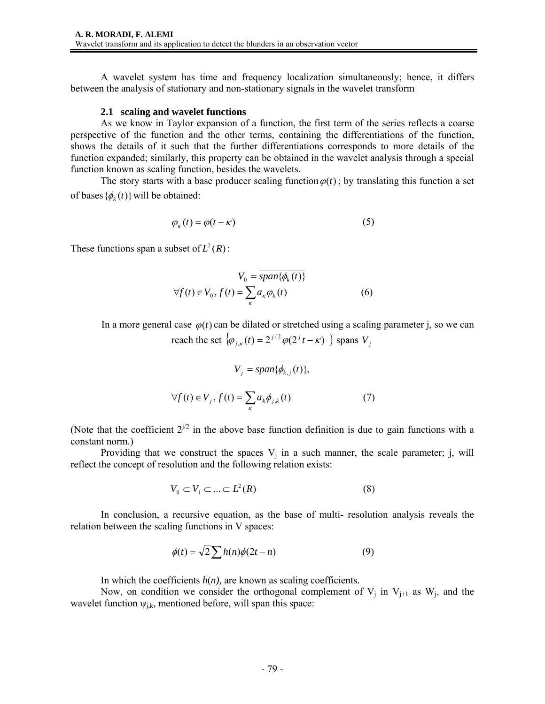A wavelet system has time and frequency localization simultaneously; hence, it differs between the analysis of stationary and non-stationary signals in the wavelet transform

#### **2.1 scaling and wavelet functions**

As we know in Taylor expansion of a function, the first term of the series reflects a coarse perspective of the function and the other terms, containing the differentiations of the function, shows the details of it such that the further differentiations corresponds to more details of the function expanded; similarly, this property can be obtained in the wavelet analysis through a special function known as scaling function, besides the wavelets.

The story starts with a base producer scaling function  $\varphi(t)$ ; by translating this function a set of bases  $\{\phi_k(t)\}\$  will be obtained:

$$
\varphi_{\kappa}(t) = \varphi(t - \kappa) \tag{5}
$$

These functions span a subset of  $L^2(R)$ :

$$
V_0 = \overline{span{\phi_k(t)\}}
$$
  

$$
\forall f(t) \in V_0, f(t) = \sum_{\kappa} a_{\kappa} \varphi_k(t)
$$
 (6)

In a more general case  $\varphi(t)$  can be dilated or stretched using a scaling parameter j, so we can reach the set  $\langle \varphi_{j,k}(t) = 2^{j/2} \varphi(2^{j} t - \kappa) \rangle$  spans  $V_j$ 

$$
V_j = \overline{span{\phi_{k,j}(t)}},
$$
  

$$
\forall f(t) \in V_j, f(t) = \sum_{k} a_k \phi_{j,k}(t)
$$
 (7)

(Note that the coefficient  $2^{j/2}$  in the above base function definition is due to gain functions with a constant norm.)

Providing that we construct the spaces  $V_i$  in a such manner, the scale parameter; j, will reflect the concept of resolution and the following relation exists:

$$
V_0 \subset V_1 \subset \ldots \subset L^2(R) \tag{8}
$$

In conclusion, a recursive equation, as the base of multi- resolution analysis reveals the relation between the scaling functions in V spaces:

$$
\phi(t) = \sqrt{2} \sum h(n)\phi(2t - n) \tag{9}
$$

In which the coefficients  $h(n)$ , are known as scaling coefficients.

Now, on condition we consider the orthogonal complement of  $V_i$  in  $V_{i+1}$  as  $W_i$ , and the wavelet function  $\psi_{i,k}$ , mentioned before, will span this space: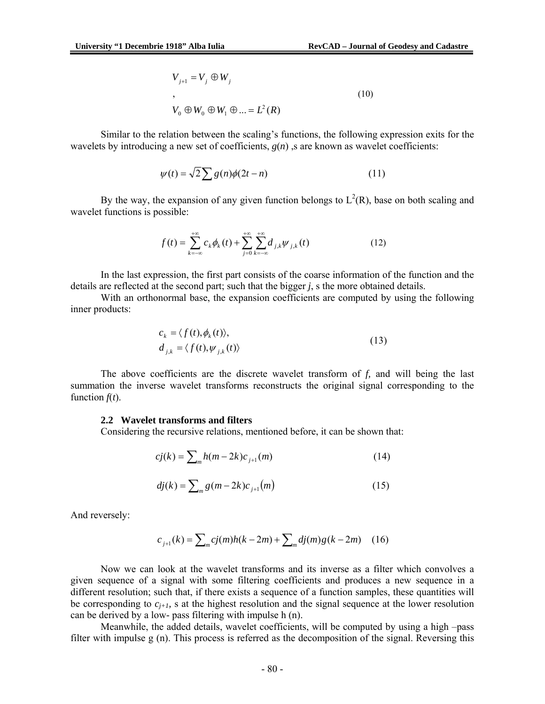$$
V_{j+1} = V_j \oplus W_j
$$
  
\n,  
\n
$$
V_0 \oplus W_0 \oplus W_1 \oplus \dots = L^2(R)
$$
  
\n(10)

Similar to the relation between the scaling's functions, the following expression exits for the wavelets by introducing a new set of coefficients, *g*(*n*) ,s are known as wavelet coefficients:

$$
\psi(t) = \sqrt{2} \sum g(n) \phi(2t - n) \tag{11}
$$

By the way, the expansion of any given function belongs to  $L^2(R)$ , base on both scaling and wavelet functions is possible:

$$
f(t) = \sum_{k=-\infty}^{+\infty} c_k \phi_k(t) + \sum_{j=0}^{+\infty} \sum_{k=-\infty}^{+\infty} d_{j,k} \psi_{j,k}(t)
$$
 (12)

In the last expression, the first part consists of the coarse information of the function and the details are reflected at the second part; such that the bigger *j*, s the more obtained details.

With an orthonormal base, the expansion coefficients are computed by using the following inner products:

$$
c_k = \langle f(t), \phi_k(t) \rangle,
$$
  
\n
$$
d_{j,k} = \langle f(t), \psi_{j,k}(t) \rangle
$$
\n(13)

The above coefficients are the discrete wavelet transform of *f,* and will being the last summation the inverse wavelet transforms reconstructs the original signal corresponding to the function  $f(t)$ .

#### **2.2 Wavelet transforms and filters**

Considering the recursive relations, mentioned before, it can be shown that:

$$
cj(k) = \sum_{m} h(m - 2k)c_{j+1}(m)
$$
 (14)

$$
dj(k) = \sum_{m} g(m - 2k)c_{j+1}(m)
$$
 (15)

And reversely:

$$
c_{j+1}(k) = \sum_{m} cj(m)h(k-2m) + \sum_{m} dj(m)g(k-2m) \quad (16)
$$

Now we can look at the wavelet transforms and its inverse as a filter which convolves a given sequence of a signal with some filtering coefficients and produces a new sequence in a different resolution; such that, if there exists a sequence of a function samples, these quantities will be corresponding to  $c_{i+1}$ , s at the highest resolution and the signal sequence at the lower resolution can be derived by a low- pass filtering with impulse h (n).

Meanwhile, the added details, wavelet coefficients, will be computed by using a high –pass filter with impulse g (n). This process is referred as the decomposition of the signal. Reversing this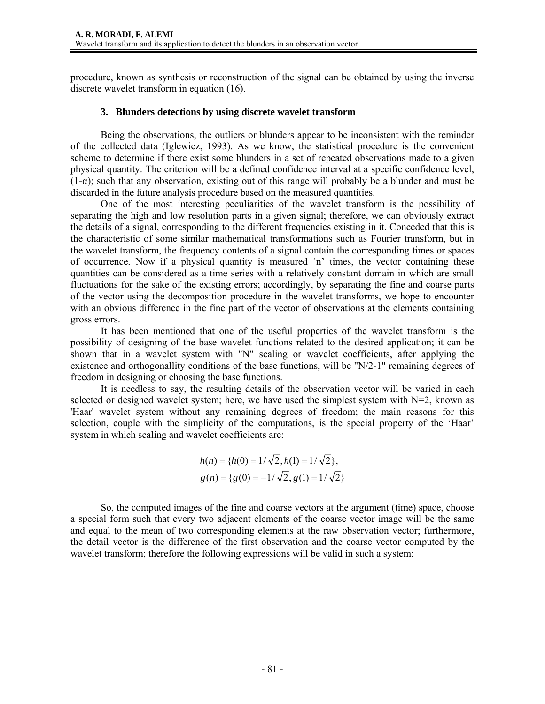procedure, known as synthesis or reconstruction of the signal can be obtained by using the inverse discrete wavelet transform in equation (16).

### **3. Blunders detections by using discrete wavelet transform**

Being the observations, the outliers or blunders appear to be inconsistent with the reminder of the collected data (Iglewicz, 1993). As we know, the statistical procedure is the convenient scheme to determine if there exist some blunders in a set of repeated observations made to a given physical quantity. The criterion will be a defined confidence interval at a specific confidence level,  $(1-\alpha)$ ; such that any observation, existing out of this range will probably be a blunder and must be discarded in the future analysis procedure based on the measured quantities.

One of the most interesting peculiarities of the wavelet transform is the possibility of separating the high and low resolution parts in a given signal; therefore, we can obviously extract the details of a signal, corresponding to the different frequencies existing in it. Conceded that this is the characteristic of some similar mathematical transformations such as Fourier transform, but in the wavelet transform, the frequency contents of a signal contain the corresponding times or spaces of occurrence. Now if a physical quantity is measured 'n' times, the vector containing these quantities can be considered as a time series with a relatively constant domain in which are small fluctuations for the sake of the existing errors; accordingly, by separating the fine and coarse parts of the vector using the decomposition procedure in the wavelet transforms, we hope to encounter with an obvious difference in the fine part of the vector of observations at the elements containing gross errors.

It has been mentioned that one of the useful properties of the wavelet transform is the possibility of designing of the base wavelet functions related to the desired application; it can be shown that in a wavelet system with "N" scaling or wavelet coefficients, after applying the existence and orthogonallity conditions of the base functions, will be "N/2-1" remaining degrees of freedom in designing or choosing the base functions.

It is needless to say, the resulting details of the observation vector will be varied in each selected or designed wavelet system; here, we have used the simplest system with  $N=2$ , known as 'Haar' wavelet system without any remaining degrees of freedom; the main reasons for this selection, couple with the simplicity of the computations, is the special property of the 'Haar' system in which scaling and wavelet coefficients are:

$$
h(n) = \{h(0) = 1/\sqrt{2}, h(1) = 1/\sqrt{2}\},
$$
  
 
$$
g(n) = \{g(0) = -1/\sqrt{2}, g(1) = 1/\sqrt{2}\}
$$

So, the computed images of the fine and coarse vectors at the argument (time) space, choose a special form such that every two adjacent elements of the coarse vector image will be the same and equal to the mean of two corresponding elements at the raw observation vector; furthermore, the detail vector is the difference of the first observation and the coarse vector computed by the wavelet transform; therefore the following expressions will be valid in such a system: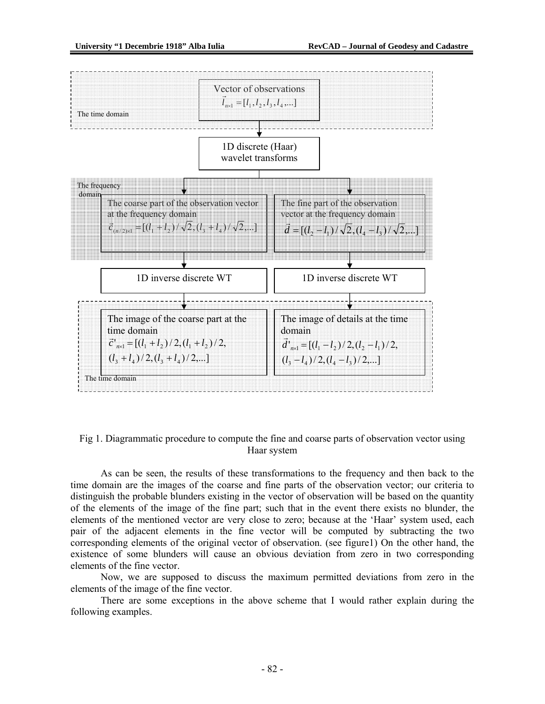

Fig 1. Diagrammatic procedure to compute the fine and coarse parts of observation vector using Haar system

As can be seen, the results of these transformations to the frequency and then back to the time domain are the images of the coarse and fine parts of the observation vector; our criteria to distinguish the probable blunders existing in the vector of observation will be based on the quantity of the elements of the image of the fine part; such that in the event there exists no blunder, the elements of the mentioned vector are very close to zero; because at the 'Haar' system used, each pair of the adjacent elements in the fine vector will be computed by subtracting the two corresponding elements of the original vector of observation. (see figure1) On the other hand, the existence of some blunders will cause an obvious deviation from zero in two corresponding elements of the fine vector.

Now, we are supposed to discuss the maximum permitted deviations from zero in the elements of the image of the fine vector.

There are some exceptions in the above scheme that I would rather explain during the following examples.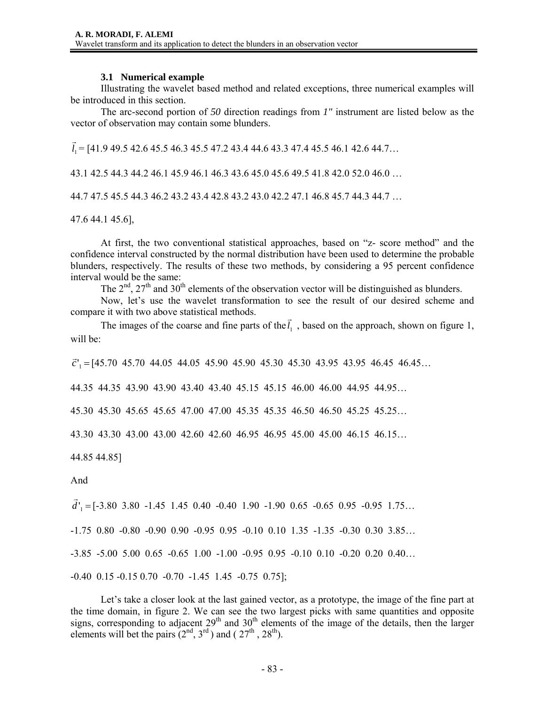## **3.1 Numerical example**

Illustrating the wavelet based method and related exceptions, three numerical examples will be introduced in this section.

The arc-second portion of *50* direction readings from *1"* instrument are listed below as the vector of observation may contain some blunders.

 $\vec{l}_1$  = [41.9 49.5 42.6 45.5 46.3 45.5 47.2 43.4 44.6 43.3 47.4 45.5 46.1 42.6 44.7...

43.1 42.5 44.3 44.2 46.1 45.9 46.1 46.3 43.6 45.0 45.6 49.5 41.8 42.0 52.0 46.0 …

44.7 47.5 45.5 44.3 46.2 43.2 43.4 42.8 43.2 43.0 42.2 47.1 46.8 45.7 44.3 44.7 …

47.6 44.1 45.6],

At first, the two conventional statistical approaches, based on "z- score method" and the confidence interval constructed by the normal distribution have been used to determine the probable blunders, respectively. The results of these two methods, by considering a 95 percent confidence interval would be the same:

The  $2<sup>nd</sup>$ ,  $27<sup>th</sup>$  and  $30<sup>th</sup>$  elements of the observation vector will be distinguished as blunders.

Now, let's use the wavelet transformation to see the result of our desired scheme and compare it with two above statistical methods.

The images of the coarse and fine parts of the  $\vec{l}_1$ , based on the approach, shown on figure 1, will be:

 $\vec{c}'_1$  = [45.70 45.70 44.05 44.05 45.90 45.90 45.30 45.30 43.95 43.95 46.45 46.45…

44.35 44.35 43.90 43.90 43.40 43.40 45.15 45.15 46.00 46.00 44.95 44.95…

45.30 45.30 45.65 45.65 47.00 47.00 45.35 45.35 46.50 46.50 45.25 45.25…

43.30 43.30 43.00 43.00 42.60 42.60 46.95 46.95 45.00 45.00 46.15 46.15…

44.85 44.85]

## And

 $\vec{d}$ <sup>'</sup><sub>1</sub> = [-3.80 3.80 -1.45 1.45 0.40 -0.40 1.90 -1.90 0.65 -0.65 0.95 -0.95 1.75...

-1.75 0.80 -0.80 -0.90 0.90 -0.95 0.95 -0.10 0.10 1.35 -1.35 -0.30 0.30 3.85…

-3.85 -5.00 5.00 0.65 -0.65 1.00 -1.00 -0.95 0.95 -0.10 0.10 -0.20 0.20 0.40…

-0.40 0.15 -0.15 0.70 -0.70 -1.45 1.45 -0.75 0.75];

Let's take a closer look at the last gained vector, as a prototype, the image of the fine part at the time domain, in figure 2. We can see the two largest picks with same quantities and opposite signs, corresponding to adjacent  $29<sup>th</sup>$  and  $30<sup>th</sup>$  elements of the image of the details, then the larger elements will bet the pairs  $(2^{nd}, 3^{rd})$  and  $(27^{th}, 28^{th})$ .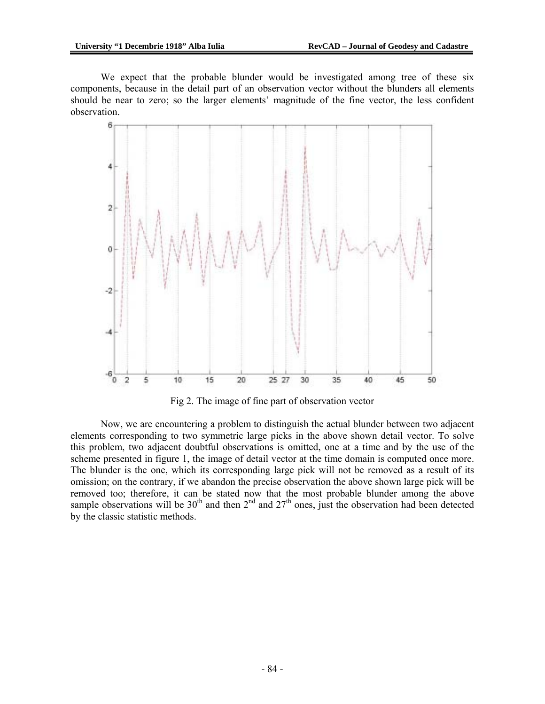We expect that the probable blunder would be investigated among tree of these six components, because in the detail part of an observation vector without the blunders all elements should be near to zero; so the larger elements' magnitude of the fine vector, the less confident observation.



Fig 2. The image of fine part of observation vector

Now, we are encountering a problem to distinguish the actual blunder between two adjacent elements corresponding to two symmetric large picks in the above shown detail vector. To solve this problem, two adjacent doubtful observations is omitted, one at a time and by the use of the scheme presented in figure 1, the image of detail vector at the time domain is computed once more. The blunder is the one, which its corresponding large pick will not be removed as a result of its omission; on the contrary, if we abandon the precise observation the above shown large pick will be removed too; therefore, it can be stated now that the most probable blunder among the above sample observations will be  $30<sup>th</sup>$  and then  $2<sup>nd</sup>$  and  $27<sup>th</sup>$  ones, just the observation had been detected by the classic statistic methods.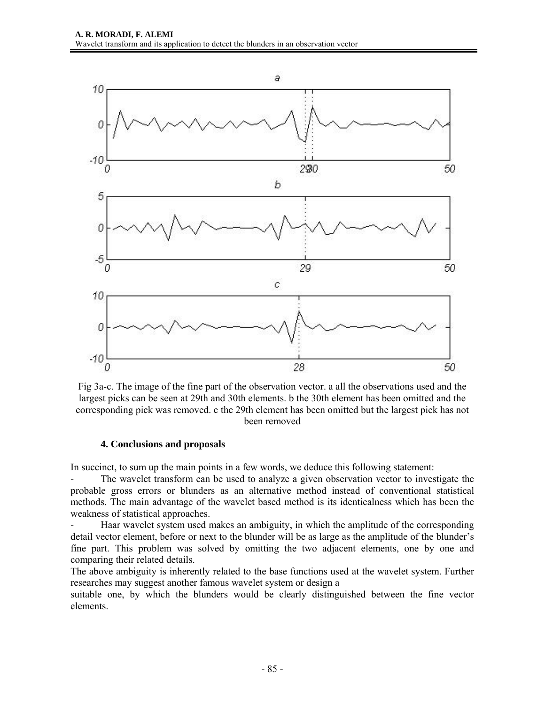

Fig 3a-c. The image of the fine part of the observation vector. a all the observations used and the largest picks can be seen at 29th and 30th elements. b the 30th element has been omitted and the corresponding pick was removed. c the 29th element has been omitted but the largest pick has not been removed

## **4. Conclusions and proposals**

In succinct, to sum up the main points in a few words, we deduce this following statement:

The wavelet transform can be used to analyze a given observation vector to investigate the probable gross errors or blunders as an alternative method instead of conventional statistical methods. The main advantage of the wavelet based method is its identicalness which has been the weakness of statistical approaches.

- Haar wavelet system used makes an ambiguity, in which the amplitude of the corresponding detail vector element, before or next to the blunder will be as large as the amplitude of the blunder's fine part. This problem was solved by omitting the two adjacent elements, one by one and comparing their related details.

The above ambiguity is inherently related to the base functions used at the wavelet system. Further researches may suggest another famous wavelet system or design a

suitable one, by which the blunders would be clearly distinguished between the fine vector elements.